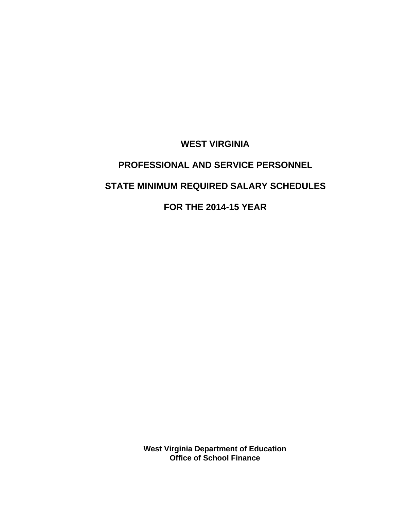**WEST VIRGINIA**

# **PROFESSIONAL AND SERVICE PERSONNEL STATE MINIMUM REQUIRED SALARY SCHEDULES**

**FOR THE 2014-15 YEAR**

**West Virginia Department of Education Office of School Finance**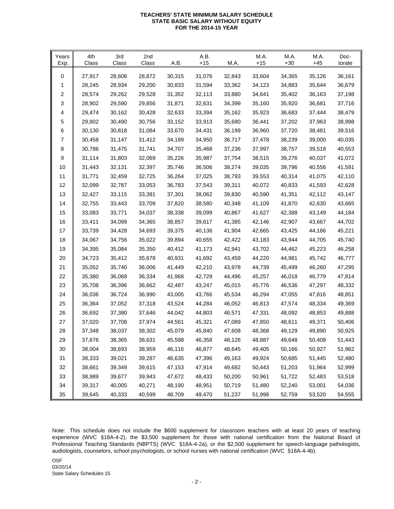#### **TEACHERS' STATE MINIMUM SALARY SCHEDULE STATE BASIC SALARY WITHOUT EQUITY FOR THE 2014-15 YEAR**

| Years<br>Exp. | 4th<br>Class | 3rd<br>Class | 2nd<br>Class | A.B.   | A.B.<br>$+15$ | M.A.   | M.A.<br>$+15$ | M.A.<br>$+30$ | M.A.<br>+45 | Doc-<br>torate |
|---------------|--------------|--------------|--------------|--------|---------------|--------|---------------|---------------|-------------|----------------|
| 0             | 27,917       | 28,606       | 28,872       | 30,315 | 31,076        | 32,843 | 33,604        | 34,365        | 35,126      | 36,161         |
| 1             | 28,245       | 28,934       | 29,200       | 30,833 | 31,594        | 33,362 | 34,123        | 34,883        | 35,644      | 36,679         |
| 2             | 28,574       | 29,262       | 29,528       | 31,352 | 32,113        | 33,880 | 34,641        | 35,402        | 36,163      | 37,198         |
| 3             | 28,902       | 29,590       | 29,856       | 31,871 | 32,631        | 34,399 | 35,160        | 35,920        | 36,681      | 37,716         |
| 4             | 29,474       | 30,162       | 30,428       | 32,633 | 33,394        | 35,162 | 35,923        | 36,683        | 37,444      | 38,479         |
| 5             | 29,802       | 30,490       | 30,756       | 33,152 | 33,913        | 35,680 | 36,441        | 37,202        | 37,963      | 38,998         |
| 6             | 30,130       | 30,818       | 31,084       | 33,670 | 34,431        | 36,199 | 36,960        | 37,720        | 38,481      | 39,516         |
| 7             | 30,458       | 31,147       | 31,412       | 34,189 | 34,950        | 36,717 | 37,478        | 38,239        | 39,000      | 40,035         |
| 8             | 30,786       | 31,475       | 31,741       | 34,707 | 35,468        | 37,236 | 37,997        | 38,757        | 39,518      | 40,553         |
| 9             | 31,114       | 31,803       | 32,069       | 35,226 | 35,987        | 37,754 | 38,515        | 39,276        | 40,037      | 41,072         |
| 10            | 31,443       | 32,131       | 32,397       | 35,746 | 36,506        | 38,274 | 39,035        | 39,796        | 40,556      | 41,591         |
| 11            | 31,771       | 32,459       | 32,725       | 36,264 | 37,025        | 38,793 | 39,553        | 40,314        | 41,075      | 42,110         |
| 12            | 32,099       | 32,787       | 33,053       | 36,783 | 37,543        | 39,311 | 40,072        | 40,833        | 41,593      | 42,628         |
| 13            | 32,427       | 33,115       | 33,381       | 37,301 | 38,062        | 39,830 | 40,590        | 41,351        | 42,112      | 43,147         |
| 14            | 32,755       | 33,443       | 33,709       | 37,820 | 38,580        | 40,348 | 41,109        | 41,870        | 42,630      | 43,665         |
| 15            | 33,083       | 33,771       | 34,037       | 38,338 | 39,099        | 40,867 | 41,627        | 42,388        | 43,149      | 44,184         |
| 16            | 33,411       | 34,099       | 34,365       | 38,857 | 39,617        | 41,385 | 42,146        | 42,907        | 43,667      | 44,702         |
| 17            | 33,739       | 34,428       | 34,693       | 39,375 | 40,136        | 41,904 | 42,665        | 43,425        | 44,186      | 45,221         |
| 18            | 34,067       | 34,756       | 35,022       | 39,894 | 40,655        | 42,422 | 43,183        | 43,944        | 44,705      | 45,740         |
| 19            | 34,395       | 35,084       | 35,350       | 40,412 | 41,173        | 42,941 | 43,702        | 44,462        | 45,223      | 46,258         |
| 20            | 34,723       | 35,412       | 35,678       | 40,931 | 41,692        | 43,459 | 44,220        | 44,981        | 45,742      | 46,777         |
| 21            | 35,052       | 35,740       | 36,006       | 41,449 | 42,210        | 43,978 | 44,739        | 45,499        | 46,260      | 47,295         |
| 22            | 35,380       | 36,068       | 36,334       | 41,968 | 42,729        | 44,496 | 45,257        | 46,018        | 46,779      | 47,814         |
| 23            | 35,708       | 36,396       | 36,662       | 42,487 | 43,247        | 45,015 | 45,776        | 46,536        | 47,297      | 48,332         |
| 24            | 36,036       | 36,724       | 36,990       | 43,005 | 43,766        | 45,534 | 46,294        | 47,055        | 47,816      | 48,851         |
| 25            | 36,364       | 37,052       | 37,318       | 43,524 | 44,284        | 46,052 | 46,813        | 47,574        | 48,334      | 49,369         |
| 26            | 36,692       | 37,380       | 37,646       | 44,042 | 44,803        | 46,571 | 47,331        | 48,092        | 48,853      | 49,888         |
| 27            | 37,020       | 37,708       | 37,974       | 44,561 | 45,321        | 47,089 | 47,850        | 48,611        | 49,371      | 50,406         |
| 28            | 37,348       | 38,037       | 38,302       | 45,079 | 45,840        | 47,608 | 48,368        | 49,129        | 49,890      | 50,925         |
| 29            | 37,676       | 38,365       | 38,631       | 45,598 | 46,358        | 48,126 | 48,887        | 49,648        | 50,408      | 51,443         |
| $30\,$        | 38,004       | 38,693       | 38,959       | 46,116 | 46,877        | 48,645 | 49,405        | 50,166        | 50,927      | 51,962         |
| 31            | 38,333       | 39,021       | 39,287       | 46,635 | 47,396        | 49,163 | 49,924        | 50,685        | 51,445      | 52,480         |
| 32            | 38,661       | 39,349       | 39,615       | 47,153 | 47,914        | 49,682 | 50,443        | 51,203        | 51,964      | 52,999         |
| 33            | 38,989       | 39,677       | 39,943       | 47,672 | 48,433        | 50,200 | 50,961        | 51,722        | 52,483      | 53,518         |
| 34            | 39,317       | 40,005       | 40,271       | 48,190 | 48,951        | 50,719 | 51,480        | 52,240        | 53,001      | 54,036         |
| 35            | 39,645       | 40,333       | 40,599       | 48,709 | 49,470        | 51,237 | 51,998        | 52,759        | 53,520      | 54,555         |

Note: This schedule does not include the \$600 supplement for classroom teachers with at least 20 years of teaching experience (WVC §18A-4-2), the \$3,500 supplement for those with national certification from the National Board of Professional Teaching Standards (NBPTS) (WVC §18A-4-2a), or the \$2,500 supplement for speech-language pathologists, audiologists, counselors, school psychologists, or school nurses with national certification (WVC §18A-4-4b).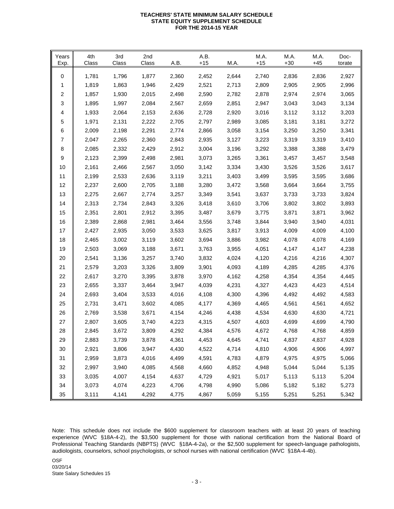#### **TEACHERS' STATE MINIMUM SALARY SCHEDULE STATE EQUITY SUPPLEMENT SCHEDULE FOR THE 2014-15 YEAR**

| Years<br>Exp. | 4th<br>Class | 3rd<br>Class | 2nd<br>Class | A.B.  | A.B.<br>$+15$ | M.A.  | M.A.<br>$+15$ | M.A.<br>$+30$ | M.A.<br>$+45$ | Doc-<br>torate |
|---------------|--------------|--------------|--------------|-------|---------------|-------|---------------|---------------|---------------|----------------|
| 0             | 1,781        | 1,796        | 1,877        | 2,360 | 2,452         | 2,644 | 2,740         | 2,836         | 2,836         | 2,927          |
| 1             | 1,819        | 1,863        | 1,946        | 2,429 | 2,521         | 2,713 | 2,809         | 2,905         | 2,905         | 2,996          |
| 2             | 1,857        | 1,930        | 2,015        | 2,498 | 2,590         | 2,782 | 2,878         | 2,974         | 2,974         | 3,065          |
| 3             | 1,895        | 1,997        | 2,084        | 2,567 | 2,659         | 2,851 | 2,947         | 3,043         | 3,043         | 3,134          |
| 4             | 1,933        | 2,064        | 2,153        | 2,636 | 2,728         | 2,920 | 3,016         | 3,112         | 3,112         | 3,203          |
| 5             | 1,971        | 2,131        | 2,222        | 2,705 | 2,797         | 2,989 | 3,085         | 3,181         | 3,181         | 3,272          |
| 6             | 2,009        | 2,198        | 2,291        | 2,774 | 2,866         | 3,058 | 3,154         | 3,250         | 3,250         | 3,341          |
| 7             | 2,047        | 2,265        | 2,360        | 2,843 | 2,935         | 3,127 | 3,223         | 3,319         | 3,319         | 3,410          |
| 8             | 2,085        | 2,332        | 2,429        | 2,912 | 3,004         | 3,196 | 3,292         | 3,388         | 3,388         | 3,479          |
| 9             | 2,123        | 2,399        | 2,498        | 2,981 | 3,073         | 3,265 | 3,361         | 3,457         | 3,457         | 3,548          |
| 10            | 2,161        | 2,466        | 2,567        | 3,050 | 3,142         | 3,334 | 3,430         | 3,526         | 3,526         | 3,617          |
| 11            | 2,199        | 2,533        | 2,636        | 3,119 | 3,211         | 3,403 | 3,499         | 3,595         | 3,595         | 3,686          |
| 12            | 2,237        | 2,600        | 2,705        | 3,188 | 3,280         | 3,472 | 3,568         | 3,664         | 3,664         | 3,755          |
| 13            | 2,275        | 2,667        | 2,774        | 3,257 | 3,349         | 3,541 | 3,637         | 3,733         | 3,733         | 3,824          |
| 14            | 2,313        | 2,734        | 2,843        | 3,326 | 3,418         | 3,610 | 3,706         | 3,802         | 3,802         | 3,893          |
| 15            | 2,351        | 2,801        | 2,912        | 3,395 | 3,487         | 3,679 | 3,775         | 3,871         | 3,871         | 3,962          |
| 16            | 2,389        | 2,868        | 2,981        | 3,464 | 3,556         | 3,748 | 3,844         | 3,940         | 3,940         | 4,031          |
| 17            | 2,427        | 2,935        | 3,050        | 3,533 | 3,625         | 3,817 | 3,913         | 4,009         | 4,009         | 4,100          |
| 18            | 2,465        | 3,002        | 3,119        | 3,602 | 3,694         | 3,886 | 3,982         | 4,078         | 4,078         | 4,169          |
| 19            | 2,503        | 3,069        | 3,188        | 3,671 | 3,763         | 3,955 | 4,051         | 4,147         | 4,147         | 4,238          |
| 20            | 2,541        | 3,136        | 3,257        | 3,740 | 3,832         | 4,024 | 4,120         | 4,216         | 4,216         | 4,307          |
| 21            | 2,579        | 3,203        | 3,326        | 3,809 | 3,901         | 4,093 | 4,189         | 4,285         | 4,285         | 4,376          |
| 22            | 2,617        | 3,270        | 3,395        | 3,878 | 3,970         | 4,162 | 4,258         | 4,354         | 4,354         | 4,445          |
| 23            | 2,655        | 3,337        | 3,464        | 3,947 | 4,039         | 4,231 | 4,327         | 4,423         | 4,423         | 4,514          |
| 24            | 2,693        | 3,404        | 3,533        | 4,016 | 4,108         | 4,300 | 4,396         | 4,492         | 4,492         | 4,583          |
| 25            | 2,731        | 3,471        | 3,602        | 4,085 | 4,177         | 4,369 | 4,465         | 4,561         | 4,561         | 4,652          |
| 26            | 2,769        | 3,538        | 3,671        | 4,154 | 4,246         | 4,438 | 4,534         | 4,630         | 4,630         | 4,721          |
| 27            | 2,807        | 3,605        | 3,740        | 4,223 | 4,315         | 4,507 | 4,603         | 4,699         | 4,699         | 4,790          |
| 28            | 2,845        | 3,672        | 3,809        | 4,292 | 4,384         | 4,576 | 4,672         | 4,768         | 4,768         | 4,859          |
| 29            | 2,883        | 3,739        | 3,878        | 4,361 | 4,453         | 4,645 | 4,741         | 4,837         | 4,837         | 4,928          |
| 30            | 2,921        | 3,806        | 3,947        | 4,430 | 4,522         | 4,714 | 4,810         | 4,906         | 4,906         | 4,997          |
| 31            | 2,959        | 3,873        | 4,016        | 4,499 | 4,591         | 4,783 | 4,879         | 4,975         | 4,975         | 5,066          |
| 32            | 2,997        | 3,940        | 4,085        | 4,568 | 4,660         | 4,852 | 4,948         | 5,044         | 5,044         | 5,135          |
| 33            | 3,035        | 4,007        | 4,154        | 4,637 | 4,729         | 4,921 | 5,017         | 5,113         | 5,113         | 5,204          |
| 34            | 3,073        | 4,074        | 4,223        | 4,706 | 4,798         | 4,990 | 5,086         | 5,182         | 5,182         | 5,273          |
| 35            | 3,111        | 4,141        | 4,292        | 4,775 | 4,867         | 5,059 | 5,155         | 5,251         | 5,251         | 5,342          |

Note: This schedule does not include the \$600 supplement for classroom teachers with at least 20 years of teaching experience (WVC §18A-4-2), the \$3,500 supplement for those with national certification from the National Board of Professional Teaching Standards (NBPTS) (WVC §18A-4-2a), or the \$2,500 supplement for speech-language pathologists, audiologists, counselors, school psychologists, or school nurses with national certification (WVC §18A-4-4b).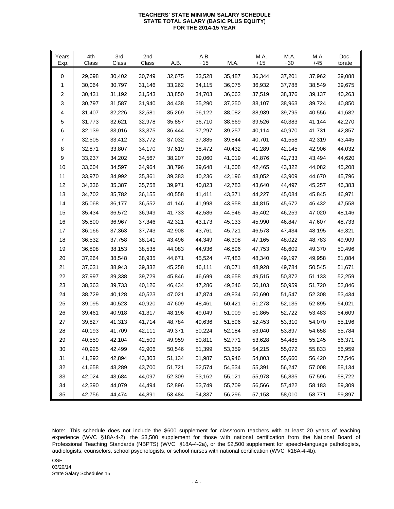#### **TEACHERS' STATE MINIMUM SALARY SCHEDULE STATE TOTAL SALARY (BASIC PLUS EQUITY) FOR THE 2014-15 YEAR**

| Years<br>Exp. | 4th<br>Class | 3rd<br>Class | 2nd<br>Class | A.B.   | A.B.<br>$+15$ | M.A.   | M.A.<br>$+15$ | M.A.<br>$+30$ | M.A.<br>$+45$ | Doc-<br>torate |
|---------------|--------------|--------------|--------------|--------|---------------|--------|---------------|---------------|---------------|----------------|
| 0             | 29,698       | 30,402       | 30,749       | 32,675 | 33,528        | 35,487 | 36,344        | 37,201        | 37,962        | 39,088         |
| 1             | 30,064       | 30,797       | 31,146       | 33,262 | 34,115        | 36,075 | 36,932        | 37,788        | 38,549        | 39,675         |
| 2             | 30,431       | 31,192       | 31,543       | 33,850 | 34,703        | 36,662 | 37,519        | 38,376        | 39,137        | 40,263         |
| 3             | 30,797       | 31,587       | 31,940       | 34,438 | 35,290        | 37,250 | 38,107        | 38,963        | 39,724        | 40,850         |
| 4             | 31,407       | 32,226       | 32,581       | 35,269 | 36,122        | 38,082 | 38,939        | 39,795        | 40,556        | 41,682         |
| 5             | 31,773       | 32,621       | 32,978       | 35,857 | 36,710        | 38,669 | 39,526        | 40,383        | 41,144        | 42,270         |
| 6             | 32,139       | 33,016       | 33,375       | 36,444 | 37,297        | 39,257 | 40,114        | 40,970        | 41,731        | 42,857         |
| 7             | 32,505       | 33,412       | 33,772       | 37,032 | 37,885        | 39,844 | 40,701        | 41,558        | 42,319        | 43,445         |
| 8             | 32,871       | 33,807       | 34,170       | 37,619 | 38,472        | 40,432 | 41,289        | 42,145        | 42,906        | 44,032         |
| 9             | 33,237       | 34,202       | 34,567       | 38,207 | 39,060        | 41,019 | 41,876        | 42,733        | 43,494        | 44,620         |
| 10            | 33,604       | 34,597       | 34,964       | 38,796 | 39,648        | 41,608 | 42,465        | 43,322        | 44,082        | 45,208         |
| 11            | 33,970       | 34,992       | 35,361       | 39,383 | 40,236        | 42,196 | 43,052        | 43,909        | 44,670        | 45,796         |
| 12            | 34,336       | 35,387       | 35,758       | 39,971 | 40,823        | 42,783 | 43,640        | 44,497        | 45,257        | 46,383         |
| 13            | 34,702       | 35,782       | 36,155       | 40,558 | 41,411        | 43,371 | 44,227        | 45,084        | 45,845        | 46,971         |
| 14            | 35,068       | 36,177       | 36,552       | 41,146 | 41,998        | 43,958 | 44,815        | 45,672        | 46,432        | 47,558         |
| 15            | 35,434       | 36,572       | 36,949       | 41,733 | 42,586        | 44,546 | 45,402        | 46,259        | 47,020        | 48,146         |
| 16            | 35,800       | 36,967       | 37,346       | 42,321 | 43,173        | 45,133 | 45,990        | 46,847        | 47,607        | 48,733         |
| 17            | 36,166       | 37,363       | 37,743       | 42,908 | 43,761        | 45,721 | 46,578        | 47,434        | 48,195        | 49,321         |
| 18            | 36,532       | 37,758       | 38,141       | 43,496 | 44,349        | 46,308 | 47,165        | 48,022        | 48,783        | 49,909         |
| 19            | 36,898       | 38,153       | 38,538       | 44,083 | 44,936        | 46,896 | 47,753        | 48,609        | 49,370        | 50,496         |
| 20            | 37,264       | 38,548       | 38,935       | 44,671 | 45,524        | 47,483 | 48,340        | 49,197        | 49,958        | 51,084         |
| 21            | 37,631       | 38,943       | 39,332       | 45,258 | 46,111        | 48,071 | 48,928        | 49,784        | 50,545        | 51,671         |
| 22            | 37,997       | 39,338       | 39,729       | 45,846 | 46,699        | 48,658 | 49,515        | 50,372        | 51,133        | 52,259         |
| 23            | 38,363       | 39,733       | 40,126       | 46,434 | 47,286        | 49,246 | 50,103        | 50,959        | 51,720        | 52,846         |
| 24            | 38,729       | 40,128       | 40,523       | 47,021 | 47,874        | 49,834 | 50,690        | 51,547        | 52,308        | 53,434         |
| 25            | 39,095       | 40,523       | 40,920       | 47,609 | 48,461        | 50,421 | 51,278        | 52,135        | 52,895        | 54,021         |
| 26            | 39,461       | 40,918       | 41,317       | 48,196 | 49,049        | 51,009 | 51,865        | 52,722        | 53,483        | 54,609         |
| 27            | 39,827       | 41,313       | 41,714       | 48,784 | 49,636        | 51,596 | 52,453        | 53,310        | 54,070        | 55,196         |
| 28            | 40,193       | 41,709       | 42,111       | 49,371 | 50,224        | 52,184 | 53,040        | 53,897        | 54,658        | 55,784         |
| 29            | 40,559       | 42,104       | 42,509       | 49,959 | 50,811        | 52,771 | 53,628        | 54,485        | 55,245        | 56,371         |
| 30            | 40,925       | 42,499       | 42,906       | 50,546 | 51,399        | 53,359 | 54,215        | 55,072        | 55,833        | 56,959         |
| 31            | 41,292       | 42,894       | 43,303       | 51,134 | 51,987        | 53,946 | 54,803        | 55,660        | 56,420        | 57,546         |
| 32            | 41,658       | 43,289       | 43,700       | 51,721 | 52,574        | 54,534 | 55,391        | 56,247        | 57,008        | 58,134         |
| 33            | 42,024       | 43,684       | 44,097       | 52,309 | 53,162        | 55,121 | 55,978        | 56,835        | 57,596        | 58,722         |
| 34            | 42,390       | 44,079       | 44,494       | 52,896 | 53,749        | 55,709 | 56,566        | 57,422        | 58,183        | 59,309         |
| $35\,$        | 42,756       | 44,474       | 44,891       | 53,484 | 54,337        | 56,296 | 57,153        | 58,010        | 58,771        | 59,897         |

Note: This schedule does not include the \$600 supplement for classroom teachers with at least 20 years of teaching experience (WVC §18A-4-2), the \$3,500 supplement for those with national certification from the National Board of Professional Teaching Standards (NBPTS) (WVC §18A-4-2a), or the \$2,500 supplement for speech-language pathologists, audiologists, counselors, school psychologists, or school nurses with national certification (WVC §18A-4-4b).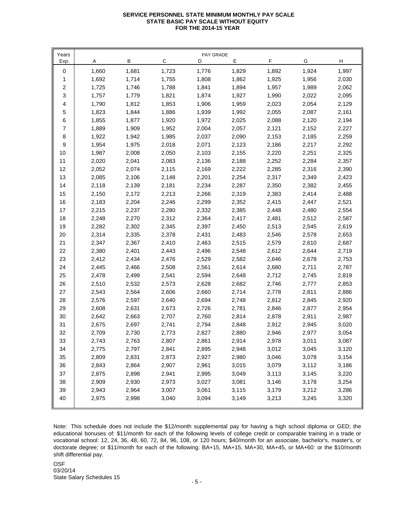### **SERVICE PERSONNEL STATE MINIMUM MONTHLY PAY SCALE STATE BASIC PAY SCALE WITHOUT EQUITY FOR THE 2014-15 YEAR**

| Years          | PAY GRADE |       |       |       |       |       |       |       |  |  |  |  |
|----------------|-----------|-------|-------|-------|-------|-------|-------|-------|--|--|--|--|
| Exp.           | Α         | В     | С     | D     | Е     | F     | G     | н     |  |  |  |  |
| 0              | 1,660     | 1,681 | 1,723 | 1,776 | 1,829 | 1,892 | 1,924 | 1,997 |  |  |  |  |
| 1              | 1,692     | 1,714 | 1,755 | 1,808 | 1,862 | 1,925 | 1,956 | 2,030 |  |  |  |  |
| 2              | 1,725     | 1,746 | 1,788 | 1,841 | 1,894 | 1,957 | 1,989 | 2,062 |  |  |  |  |
| 3              | 1,757     | 1,779 | 1,821 | 1,874 | 1,927 | 1,990 | 2,022 | 2,095 |  |  |  |  |
| 4              | 1,790     | 1,812 | 1,853 | 1,906 | 1,959 | 2,023 | 2,054 | 2,129 |  |  |  |  |
| 5              | 1,823     | 1,844 | 1,886 | 1,939 | 1,992 | 2,055 | 2,087 | 2,161 |  |  |  |  |
| 6              | 1,855     | 1,877 | 1,920 | 1,972 | 2,025 | 2,088 | 2,120 | 2,194 |  |  |  |  |
| $\overline{7}$ | 1,889     | 1,909 | 1,952 | 2,004 | 2,057 | 2,121 | 2,152 | 2,227 |  |  |  |  |
| 8              | 1,922     | 1,942 | 1,985 | 2,037 | 2,090 | 2,153 | 2,185 | 2,259 |  |  |  |  |
| 9              | 1,954     | 1,975 | 2,018 | 2,071 | 2,123 | 2,186 | 2,217 | 2,292 |  |  |  |  |
| $10$           | 1,987     | 2,008 | 2,050 | 2,103 | 2,155 | 2,220 | 2,251 | 2,325 |  |  |  |  |
| 11             | 2,020     | 2,041 | 2,083 | 2,136 | 2,188 | 2,252 | 2,284 | 2,357 |  |  |  |  |
| 12             | 2,052     | 2,074 | 2,115 | 2,169 | 2,222 | 2,285 | 2,316 | 2,390 |  |  |  |  |
| 13             | 2,085     | 2,106 | 2,148 | 2,201 | 2,254 | 2,317 | 2,349 | 2,423 |  |  |  |  |
| 14             | 2,118     | 2,139 | 2,181 | 2,234 | 2,287 | 2,350 | 2,382 | 2,455 |  |  |  |  |
| 15             | 2,150     | 2,172 | 2,213 | 2,266 | 2,319 | 2,383 | 2,414 | 2,488 |  |  |  |  |
| 16             | 2,183     | 2,204 | 2,246 | 2,299 | 2,352 | 2,415 | 2,447 | 2,521 |  |  |  |  |
| 17             | 2,215     | 2,237 | 2,280 | 2,332 | 2,385 | 2,448 | 2,480 | 2,554 |  |  |  |  |
| 18             | 2,248     | 2,270 | 2,312 | 2,364 | 2,417 | 2,481 | 2,512 | 2,587 |  |  |  |  |
| 19             | 2,282     | 2,302 | 2,345 | 2,397 | 2,450 | 2,513 | 2,545 | 2,619 |  |  |  |  |
| 20             | 2,314     | 2,335 | 2,378 | 2,431 | 2,483 | 2,546 | 2,578 | 2,653 |  |  |  |  |
| 21             | 2,347     | 2,367 | 2,410 | 2,463 | 2,515 | 2,579 | 2,610 | 2,687 |  |  |  |  |
| 22             | 2,380     | 2,401 | 2,443 | 2,496 | 2,548 | 2,612 | 2,644 | 2,719 |  |  |  |  |
| 23             | 2,412     | 2,434 | 2,476 | 2,529 | 2,582 | 2,646 | 2,678 | 2,753 |  |  |  |  |
| 24             | 2,445     | 2,466 | 2,508 | 2,561 | 2,614 | 2,680 | 2,711 | 2,787 |  |  |  |  |
| 25             | 2,478     | 2,499 | 2,541 | 2,594 | 2,648 | 2,712 | 2,745 | 2,819 |  |  |  |  |
| 26             | 2,510     | 2,532 | 2,573 | 2,628 | 2,682 | 2,746 | 2,777 | 2,853 |  |  |  |  |
| 27             | 2,543     | 2,564 | 2,606 | 2,660 | 2,714 | 2,778 | 2,811 | 2,886 |  |  |  |  |
| 28             | 2,576     | 2,597 | 2,640 | 2,694 | 2,748 | 2,812 | 2,845 | 2,920 |  |  |  |  |
| 29             | 2,608     | 2,631 | 2,673 | 2,726 | 2,781 | 2,846 | 2,877 | 2,954 |  |  |  |  |
| 30             | 2,642     | 2,663 | 2,707 | 2,760 | 2,814 | 2,878 | 2,911 | 2,987 |  |  |  |  |
| 31             | 2,675     | 2,697 | 2,741 | 2,794 | 2,848 | 2,912 | 2,945 | 3,020 |  |  |  |  |
| 32             | 2,709     | 2,730 | 2,773 | 2,827 | 2,880 | 2,946 | 2,977 | 3,054 |  |  |  |  |
| 33             | 2,743     | 2,763 | 2,807 | 2,861 | 2,914 | 2,978 | 3,011 | 3,087 |  |  |  |  |
| 34             | 2,775     | 2,797 | 2,841 | 2,895 | 2,948 | 3,012 | 3,045 | 3,120 |  |  |  |  |
| 35             | 2,809     | 2,831 | 2,873 | 2,927 | 2,980 | 3,046 | 3,078 | 3,154 |  |  |  |  |
| 36             | 2,843     | 2,864 | 2,907 | 2,961 | 3,015 | 3,079 | 3,112 | 3,186 |  |  |  |  |
| 37             | 2,875     | 2,898 | 2,941 | 2,995 | 3,049 | 3,113 | 3,145 | 3,220 |  |  |  |  |
| 38             | 2,909     | 2,930 | 2,973 | 3,027 | 3,081 | 3,146 | 3,178 | 3,254 |  |  |  |  |
| 39             | 2,943     | 2,964 | 3,007 | 3,061 | 3,115 | 3,179 | 3,212 | 3,286 |  |  |  |  |
| 40             | 2,975     | 2,998 | 3,040 | 3,094 | 3,149 | 3,213 | 3,245 | 3,320 |  |  |  |  |
|                |           |       |       |       |       |       |       |       |  |  |  |  |

Note: This schedule does not include the \$12/month supplemental pay for having a high school diploma or GED; the educational bonuses of: \$11/month for each of the following levels of college credit or comparable training in a trade or vocational school: 12, 24, 36, 48, 60, 72, 84, 96, 108, or 120 hours; \$40/month for an associate, bachelor's, master's, or doctorate degree; or \$11/month for each of the following: BA+15, MA+15, MA+30, MA+45, or MA+60: or the \$10/month shift differential pay.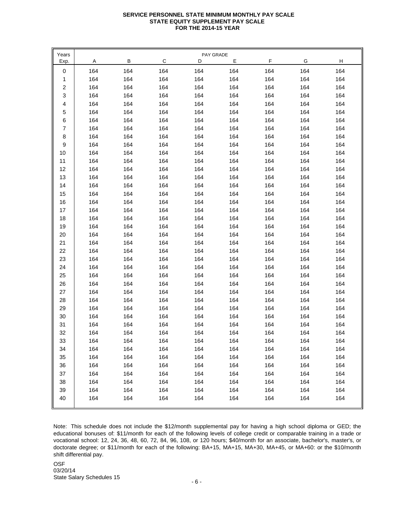### **SERVICE PERSONNEL STATE MINIMUM MONTHLY PAY SCALE STATE EQUITY SUPPLEMENT PAY SCALE FOR THE 2014-15 YEAR**

| Years                     |     |     |     | PAY GRADE |     |     |     |     |
|---------------------------|-----|-----|-----|-----------|-----|-----|-----|-----|
| Exp.                      | Α   | В   | C   | D         | Е   | F   | G   | H   |
| 0                         | 164 | 164 | 164 | 164       | 164 | 164 | 164 | 164 |
| 1                         | 164 | 164 | 164 | 164       | 164 | 164 | 164 | 164 |
| $\boldsymbol{2}$          | 164 | 164 | 164 | 164       | 164 | 164 | 164 | 164 |
| $\ensuremath{\mathsf{3}}$ | 164 | 164 | 164 | 164       | 164 | 164 | 164 | 164 |
| 4                         | 164 | 164 | 164 | 164       | 164 | 164 | 164 | 164 |
| 5                         | 164 | 164 | 164 | 164       | 164 | 164 | 164 | 164 |
| 6                         | 164 | 164 | 164 | 164       | 164 | 164 | 164 | 164 |
| $\overline{7}$            | 164 | 164 | 164 | 164       | 164 | 164 | 164 | 164 |
| 8                         | 164 | 164 | 164 | 164       | 164 | 164 | 164 | 164 |
| 9                         | 164 | 164 | 164 | 164       | 164 | 164 | 164 | 164 |
| 10                        | 164 | 164 | 164 | 164       | 164 | 164 | 164 | 164 |
| 11                        | 164 | 164 | 164 | 164       | 164 | 164 | 164 | 164 |
| 12                        | 164 | 164 | 164 | 164       | 164 | 164 | 164 | 164 |
| 13                        | 164 | 164 | 164 | 164       | 164 | 164 | 164 | 164 |
| 14                        | 164 | 164 | 164 | 164       | 164 | 164 | 164 | 164 |
| 15                        | 164 | 164 | 164 | 164       | 164 | 164 | 164 | 164 |
| 16                        | 164 | 164 | 164 | 164       | 164 | 164 | 164 | 164 |
| 17                        | 164 | 164 | 164 | 164       | 164 | 164 | 164 | 164 |
| 18                        | 164 | 164 | 164 | 164       | 164 | 164 | 164 | 164 |
| 19                        | 164 | 164 | 164 | 164       | 164 | 164 | 164 | 164 |
| 20                        | 164 | 164 | 164 | 164       | 164 | 164 | 164 | 164 |
| 21                        | 164 | 164 | 164 | 164       | 164 | 164 | 164 | 164 |
| 22                        | 164 | 164 | 164 | 164       | 164 | 164 | 164 | 164 |
| 23                        | 164 | 164 | 164 | 164       | 164 | 164 | 164 | 164 |
| 24                        | 164 | 164 | 164 | 164       | 164 | 164 | 164 | 164 |
| 25                        | 164 | 164 | 164 | 164       | 164 | 164 | 164 | 164 |
| 26                        | 164 | 164 | 164 | 164       | 164 | 164 | 164 | 164 |
| 27                        | 164 | 164 | 164 | 164       | 164 | 164 | 164 | 164 |
| 28                        | 164 | 164 | 164 | 164       | 164 | 164 | 164 | 164 |
| 29                        | 164 | 164 | 164 | 164       | 164 | 164 | 164 | 164 |
| 30                        | 164 | 164 | 164 | 164       | 164 | 164 | 164 | 164 |
| 31                        | 164 | 164 | 164 | 164       | 164 | 164 | 164 | 164 |
| 32                        | 164 | 164 | 164 | 164       | 164 | 164 | 164 | 164 |
| 33                        | 164 | 164 | 164 | 164       | 164 | 164 | 164 | 164 |
| 34                        | 164 | 164 | 164 | 164       | 164 | 164 | 164 | 164 |
| 35                        | 164 | 164 | 164 | 164       | 164 | 164 | 164 | 164 |
| 36                        | 164 | 164 | 164 | 164       | 164 | 164 | 164 | 164 |
| 37                        | 164 | 164 | 164 | 164       | 164 | 164 | 164 | 164 |
| 38                        | 164 | 164 | 164 | 164       | 164 | 164 | 164 | 164 |
| 39                        | 164 | 164 | 164 | 164       | 164 | 164 | 164 | 164 |
| 40                        | 164 | 164 | 164 | 164       | 164 | 164 | 164 | 164 |

Note: This schedule does not include the \$12/month supplemental pay for having a high school diploma or GED; the educational bonuses of: \$11/month for each of the following levels of college credit or comparable training in a trade or vocational school: 12, 24, 36, 48, 60, 72, 84, 96, 108, or 120 hours; \$40/month for an associate, bachelor's, master's, or doctorate degree; or \$11/month for each of the following: BA+15, MA+15, MA+30, MA+45, or MA+60: or the \$10/month shift differential pay.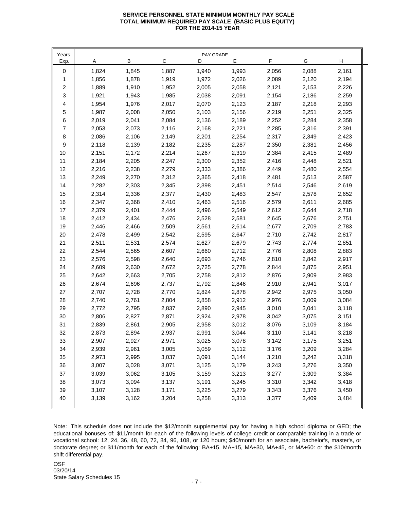## **SERVICE PERSONNEL STATE MINIMUM MONTHLY PAY SCALE TOTAL MINIMUM REQUIRED PAY SCALE (BASIC PLUS EQUITY) FOR THE 2014-15 YEAR**

| Years            |       |       |       | PAY GRADE |       |       |       |       |
|------------------|-------|-------|-------|-----------|-------|-------|-------|-------|
| Exp.             | A     | В     | C     | D         | Е     | F     | G     | H     |
| 0                | 1,824 | 1,845 | 1,887 | 1,940     | 1,993 | 2,056 | 2,088 | 2,161 |
| 1                | 1,856 | 1,878 | 1,919 | 1,972     | 2,026 | 2,089 | 2,120 | 2,194 |
| $\boldsymbol{2}$ | 1,889 | 1,910 | 1,952 | 2,005     | 2,058 | 2,121 | 2,153 | 2,226 |
| 3                | 1,921 | 1,943 | 1,985 | 2,038     | 2,091 | 2,154 | 2,186 | 2,259 |
| 4                | 1,954 | 1,976 | 2,017 | 2,070     | 2,123 | 2,187 | 2,218 | 2,293 |
| 5                | 1,987 | 2,008 | 2,050 | 2,103     | 2,156 | 2,219 | 2,251 | 2,325 |
| 6                | 2,019 | 2,041 | 2,084 | 2,136     | 2,189 | 2,252 | 2,284 | 2,358 |
| $\overline{7}$   | 2,053 | 2,073 | 2,116 | 2,168     | 2,221 | 2,285 | 2,316 | 2,391 |
| 8                | 2,086 | 2,106 | 2,149 | 2,201     | 2,254 | 2,317 | 2,349 | 2,423 |
| 9                | 2,118 | 2,139 | 2,182 | 2,235     | 2,287 | 2,350 | 2,381 | 2,456 |
| 10               | 2,151 | 2,172 | 2,214 | 2,267     | 2,319 | 2,384 | 2,415 | 2,489 |
| 11               | 2,184 | 2,205 | 2,247 | 2,300     | 2,352 | 2,416 | 2,448 | 2,521 |
| 12               | 2,216 | 2,238 | 2,279 | 2,333     | 2,386 | 2,449 | 2,480 | 2,554 |
| 13               | 2,249 | 2,270 | 2,312 | 2,365     | 2,418 | 2,481 | 2,513 | 2,587 |
| 14               | 2,282 | 2,303 | 2,345 | 2,398     | 2,451 | 2,514 | 2,546 | 2,619 |
| 15               | 2,314 | 2,336 | 2,377 | 2,430     | 2,483 | 2,547 | 2,578 | 2,652 |
| 16               | 2,347 | 2,368 | 2,410 | 2,463     | 2,516 | 2,579 | 2,611 | 2,685 |
| 17               | 2,379 | 2,401 | 2,444 | 2,496     | 2,549 | 2,612 | 2,644 | 2,718 |
| 18               | 2,412 | 2,434 | 2,476 | 2,528     | 2,581 | 2,645 | 2,676 | 2,751 |
| 19               | 2,446 | 2,466 | 2,509 | 2,561     | 2,614 | 2,677 | 2,709 | 2,783 |
| 20               | 2,478 | 2,499 | 2,542 | 2,595     | 2,647 | 2,710 | 2,742 | 2,817 |
| 21               | 2,511 | 2,531 | 2,574 | 2,627     | 2,679 | 2,743 | 2,774 | 2,851 |
| 22               | 2,544 | 2,565 | 2,607 | 2,660     | 2,712 | 2,776 | 2,808 | 2,883 |
| 23               | 2,576 | 2,598 | 2,640 | 2,693     | 2,746 | 2,810 | 2,842 | 2,917 |
| 24               | 2,609 | 2,630 | 2,672 | 2,725     | 2,778 | 2,844 | 2,875 | 2,951 |
| 25               | 2,642 | 2,663 | 2,705 | 2,758     | 2,812 | 2,876 | 2,909 | 2,983 |
| 26               | 2,674 | 2,696 | 2,737 | 2,792     | 2,846 | 2,910 | 2,941 | 3,017 |
| 27               | 2,707 | 2,728 | 2,770 | 2,824     | 2,878 | 2,942 | 2,975 | 3,050 |
| 28               | 2,740 | 2,761 | 2,804 | 2,858     | 2,912 | 2,976 | 3,009 | 3,084 |
| 29               | 2,772 | 2,795 | 2,837 | 2,890     | 2,945 | 3,010 | 3,041 | 3,118 |
| 30               | 2,806 | 2,827 | 2,871 | 2,924     | 2,978 | 3,042 | 3,075 | 3,151 |
| 31               | 2,839 | 2,861 | 2,905 | 2,958     | 3,012 | 3,076 | 3,109 | 3,184 |
| 32               | 2,873 | 2,894 | 2,937 | 2,991     | 3,044 | 3,110 | 3,141 | 3,218 |
| 33               | 2,907 | 2,927 | 2,971 | 3,025     | 3,078 | 3,142 | 3,175 | 3,251 |
| 34               | 2,939 | 2,961 | 3,005 | 3,059     | 3,112 | 3,176 | 3,209 | 3,284 |
| 35               | 2,973 | 2,995 | 3,037 | 3,091     | 3,144 | 3,210 | 3,242 | 3,318 |
| 36               | 3,007 | 3,028 | 3,071 | 3,125     | 3,179 | 3,243 | 3,276 | 3,350 |
| 37               | 3,039 | 3,062 | 3,105 | 3,159     | 3,213 | 3,277 | 3,309 | 3,384 |
| 38               | 3,073 | 3,094 | 3,137 | 3,191     | 3,245 | 3,310 | 3,342 | 3,418 |
| 39               | 3,107 | 3,128 | 3,171 | 3,225     | 3,279 | 3,343 | 3,376 | 3,450 |
| 40               | 3,139 | 3,162 | 3,204 | 3,258     | 3,313 | 3,377 | 3,409 | 3,484 |
|                  |       |       |       |           |       |       |       |       |

Note: This schedule does not include the \$12/month supplemental pay for having a high school diploma or GED; the educational bonuses of: \$11/month for each of the following levels of college credit or comparable training in a trade or vocational school: 12, 24, 36, 48, 60, 72, 84, 96, 108, or 120 hours; \$40/month for an associate, bachelor's, master's, or doctorate degree; or \$11/month for each of the following: BA+15, MA+15, MA+30, MA+45, or MA+60: or the \$10/month shift differential pay.